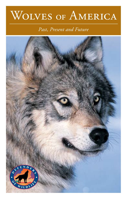# WOLVES OF AMERICA

#### *Past, Present and Future*

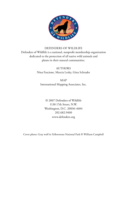

#### DEFENDERS OF WILDLIFE

Defenders of Wildlife is a national, nonprofit membership organization dedicated to the protection of all native wild animals and plants in their natural communities.

> AUTHORS Nina Fascione, Marcia Lesky, Gina Schrader

MAP International Mapping Associates, Inc.

© 2007 Defenders of Wildlife 1130 17th Street, N.W. Washington, D.C. 20036-4604 202.682.9400 www.defenders.org

Cover photo: Gray wolf in Yellowstone National Park © William Campbell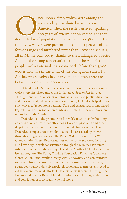nce upon a time, wolves were among the<br>
most widely distributed mammals in<br>
America. Then the settlers arrived, sparking<br>
300 years of extermination campaigns that<br>
devastated wolf populations across the lower 48 states. B most widely distributed mammals in America. Then the settlers arrived, sparking 300 years of extermination campaigns that the 1970s, wolves were present in less than 1 percent of their former range and numbered fewer than 1,000 individuals, all in Minnesota. Today, thanks to the Endangered Species Act and the strong conservation ethic of the American people, wolves are making a comeback. More than 5,000 wolves now live in the wilds of the contiguous states. In Alaska, where wolves have fared much better, there are between 7,000 and 11,000 wolves.

Defenders of Wildlife has been a leader in wolf conservation since wolves were first listed under the Endangered Species Act in 1973. Through innovative conservation programs, extensive public education and outreach and, when necessary, legal action, Defenders helped restore gray wolves to Yellowstone National Park and central Idaho, and played key roles in the reintroduction of Mexican wolves in the Southwest and red wolves in the Southeast.

Defenders lays the groundwork for wolf conservation by building acceptance of wolves, especially among livestock producers and other skeptical constituents. To lessen the economic impact on ranchers, Defenders compensates them for livestock losses caused by wolves through a program known as The Bailey Wildlife Foundation Wolf Compensation Trust. Representatives of the cattle and sheep industry also have a say in wolf conservation through the Livestock Producer Advisory Council established by Defenders. Another Defenders-administered program, The Bailey Wildlife Foundation Proactive Carnivore Conservation Fund, works directly with landowners and communities to prevent livestock losses with nonlethal measures such as fencing, guard dogs, range riders, livestock relocation and alarm systems. And to aid in law enforcement efforts, Defenders offers incentives through the Endangered Species Reward Fund for information leading to the arrest and conviction of individuals who kill wolves.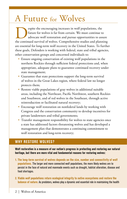## A Future for Wolves

**Explore the encouraging increases in wolf populations, the future for wolves is far from certain. We must continue to advocate wolf restoration and pursue opportunities to assure the continued survival of wolves. Comprehe** future for wolves is far from certain. We must continue to advocate wolf restoration and pursue opportunities to assure are essential for long-term wolf recovery in the United States. To further these goals, Defenders is working with federal, state and tribal agencies, other conservation groups and concerned individuals to:

- Ensure ongoing conservation of existing wolf populations in the northern Rockies through sufficient federal protections and, when appropriate, adequate plans to guarantee continued recovery under state management;
- Guarantee that state protections support the long-term survival of wolves in the Great Lakes region, where federal law no longer protects them;
- Restore viable populations of gray wolves in additional suitable areas, including the Northeast, Pacific Northwest, southern Rockies and Southwest, and of red wolves in the Southeast, through active reintroduction or facilitated natural recovery;
- Encourage wolf restoration on nonfederal lands by working with Congress and the conservation community to develop incentives for private landowners and tribal governments;
- Transfer management responsibility for wolves to state agencies once a state has addressed factors threatening wolves and has developed a management plan that demonstrates a continuing commitment to wolf restoration and long-term recovery;

#### **Why Restore Wolves?**

**Wolf restoration is a measure of our nation's progress in protecting and restoring our natural heritage, but there are more vital and fundamental reasons for restoring wolves:** 

- **1. The long-term survival of wolves depends on the size, number and connectivity of wolf populations.** The larger and more connected wolf populations, the more likely wolves are to persist in the face of natural and manmade events such as drought, habitat alteration, disease and food shortages.
- **2. Viable wolf populations return ecological integrity to native ecosystems and restore the balance of nature.** As predators, wolves play a dynamic and essential role in maintaining the health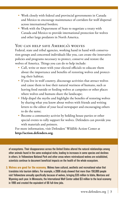- Work closely with federal and provincial governments in Canada and Mexico to encourage maintenance of corridors for wolf dispersal across international borders;
- Work with the Department of State to negotiate a treaty with Canada and Mexico to provide international protection for wolves and other large predators in North America.

#### You can help save America's wolves

Federal, state and tribal agencies, working hand in hand with conservation groups and concerned individuals like you, can create the innovative policies and programs necessary to protect, conserve and restore the wolves of America. Things you can do to help include:

- Call, write or meet with your elected officials to educate them about the importance and benefits of restoring wolves and protecting their habitat;
- If you live in wolf country, discourage activities that attract wolves and cause them to lose their natural wariness of humans, such as leaving food outside or feeding wolves at campsites or other places where wolves and humans share the landscape;
- Help dispel the myths and highlight the benefits of restoring wolves by sharing what you know about wolves with friends and writing letters to the editor of your local newspaper and encouraging others to do the same;
- Become a community activist by holding house parties or other special events to rally support for wolves. Defenders can provide you with materials and pointers.

For more information, visit Defenders' Wildlife Action Center at **http://action.defenders.org**.

of ecosystems. Their disappearance across the United States altered the natural relationships among other animals found in the same ecological niche, leading to increases in some species and declines in others. In Yellowstone National Park and other areas where reintroduced wolves are established, scientists continue to document beneficial impacts on the health of the whole ecosystem.

**3. Wolves are good for the economy.** Wolves have cultural, aesthetic and recreational value that translates into tourism dollars. For example, a 2006 study showed that more than 150,000 people visit Yellowstone annually specifically because of wolves, bringing \$35 million to Idaho, Montana and Wyoming each year. In Minnesota, the International Wolf Center added \$3 million to the local economy in 1995 and created the equivalent of 66 full-time jobs.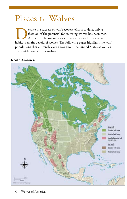## Places for Wolves

**Experience is a set of wolf recovery efforts to date, only a** fraction of the potential for restoring wolves has been met.<br>As the map below indicates, many areas with suitable wolf habitat remain devoid of wolves. The fol fraction of the potential for restoring wolves has been met. As the map below indicates, many areas with suitable wolf populations that currently exist throughout the United States as well as areas with potential for wolves.

#### **North America**

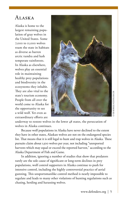#### ALASKA

Alaska is home to the largest remaining population of gray wolves in the United States. Some 7,000 to 11,000 wolves roam the state in habitats as diverse as barren arctic tundra and lush temperate rainforests. In Alaska as elsewhere, wolves play an essential role in maintaining healthy prey populations and biodiversity in the ecosystems they inhabit. They are also vital to the state's tourism economy. People from all over the world come to Alaska for the opportunity to see a wild wolf. Yet even as extraordinary efforts are



underway to restore wolves in the lower 48 states, the persecution of wolves in Alaska continues.

Because wolf populations in Alaska have never declined to the extent they have in other states, Alaskan wolves are not on the endangered species list. That means that it is still legal to hunt and trap wolves in Alaska. These pursuits claim about 1,500 wolves per year, not including "unreported harvests which may equal or exceed the reported harvest," according to the Alaska Department of Fish and Game.

In addition, ignoring a number of studies that show that predators rarely are the sole cause of significant or long-term declines in prey populations, wolf control supporters in Alaska continue to push for intensive control, including the highly controversial practice of aerial gunning. This unsportsmanlike control method is nearly impossible to regulate and leads to many other violations of hunting regulations such as chasing, herding and harassing wolves.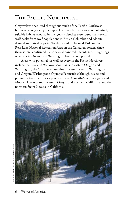#### The Pacific Northwest

Gray wolves once lived throughout much of the Pacific Northwest, but most were gone by the 1930s. Fortunately, many areas of potentially suitable habitat remain. In the 1990s, scientists even found that several wolf packs from wolf populations in British Columbia and Alberta denned and raised pups in North Cascades National Park and in Ross Lake National Recreation Area on the Canadian border. Since then, several confirmed—and several hundred unconfirmed—sightings of wolves in Oregon and Washington have been reported.

Areas with potential for wolf recovery in the Pacific Northwest include the Blue and Wallowa Mountains in eastern Oregon and Washington, the Cascade Mountains in western central Washington and Oregon, Washington's Olympic Peninsula (although its size and proximity to cities limit its potential), the Klamath-Siskiyou region and Modoc Plateau of southwestern Oregon and northern California, and the northern Sierra Nevada in California.

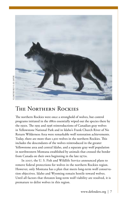

## The Northern Rockies

The northern Rockies were once a stronghold of wolves, but control programs initiated in the 1880s essentially wiped out the species there by the 1930s. The 1995 and 1996 reintroductions of Canadian gray wolves in Yellowstone National Park and in Idaho's Frank Church River of No Return Wilderness Area were remarkable wolf restoration achievements. Today, there are more than 1,300 wolves in the northern Rockies. This includes the descendants of the wolves reintroduced in the greater Yellowstone area and central Idaho, and a separate gray wolf population in northwestern Montana established by animals that crossed the border from Canada on their own beginning in the late 1970s.

In 2007, the U. S. Fish and Wildlife Service announced plans to remove federal protections for wolves in the northern Rockies region. However, only Montana has a plan that meets long-term wolf conservation objectives. Idaho and Wyoming remain hostile toward wolves. Until all factors that threaten long-term wolf viability are resolved, it is premature to delist wolves in this region.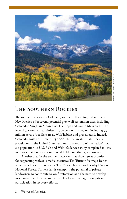

#### The Southern Rockies

The southern Rockies in Colorado, southern Wyoming and northern New Mexico offer several potential gray wolf restoration sites, including Colorado's San Juan Mountains, Flat Tops and Grand Mesa areas. The federal government administers 55 percent of this region, including 9.5 million acres of roadless areas. Wolf habitat and prey abound. Indeed, Colorado hosts an estimated 292,000 elk, the greatest statewide elk population in the United States and nearly one-third of the nation's total elk population. A U.S. Fish and Wildlife Service study completed in 1994 indicates that Colorado alone could hold more than 1,000 wolves.

Another area in the southern Rockies that shows great promise for supporting wolves is media executive Ted Turner's Vermejo Ranch, which straddles the Colorado-New Mexico border and nearby Carson National Forest. Turner's lands exemplify the potential of private landowners to contribute to wolf restoration and the need to develop mechanisms at the state and federal level to encourage more private participation in recovery efforts.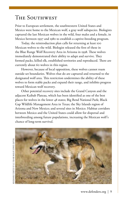#### The Southwest

Prior to European settlement, the southwestern United States and Mexico were home to the Mexican wolf, a gray wolf subspecies. Biologists captured the last Mexican wolves in the wild, four males and a female, in Mexico between 1997 and 1980 to establish a captive-breeding program.

Today, the reintroduction plan calls for returning at least 100 Mexican wolves to the wild. Biologist released the first of these in the Blue Range Wolf Recovery Area in Arizona in 1998. These wolves immediately demonstrated their ability to adapt and survive. They formed packs, killed elk, established territories and reproduced. There are currently about 60 wolves in this region.

However, because of local opposition, these wolves cannot roam outside set boundaries. Wolves that do are captured and returned to the designated wolf area. This restriction undermines the ability of these wolves to form stable packs and expand their range, and inhibits progress toward Mexican wolf recovery.

Other potential recovery sites include the Grand Canyon and the adjacent Kaibab Plateau, which has been identified as one of the best places for wolves in the lower 48 states; Big Bend National Park; Black Gap Wildlife Management Area in Texas; the Sky Islands region of Arizona and New Mexico; and several sites in Mexico. Habitat corridors between Mexico and the United States could allow for dispersal and interbreeding among future populations, increasing the Mexican wolf's chance of long-term survival.

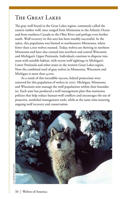### The Great Lakes

The gray wolf found in the Great Lakes region, commonly called the eastern timber wolf, once ranged from Minnesota to the Atlantic Ocean and from southern Canada to the Ohio River and perhaps even farther south. Wolf recovery in this area has been notably successful. In the 1960s, this population was limited to northeastern Minnesota, where fewer than 1,000 wolves roamed. Today, wolves are thriving in northern Minnesota and have also crossed into northern and central Wisconsin and Michigan's Upper Peninsula. Individuals continue to disperse into areas with suitable habitat, with recent wolf sightings in Michigan's Lower Peninsula and other states in the western Great Lakes region. Now the combined total of gray wolves in Minnesota, Wisconsin and Michigan is more than 4,000.

As a result of this incredible success, federal protections were removed for this population of wolves in 2007. Michigan, Minnesota and Wisconsin now manage the wolf populations within their boundaries. Each state has produced a wolf management plan that maintains policies that help reduce human-wolf conflicts and encourages the use of proactive, nonlethal management tools, while at the same time ensuring ongoing wolf recovery and conservation.

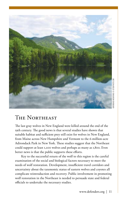

#### The Northeast

The last gray wolves in New England were killed around the end of the 19th century. The good news is that several studies have shown that suitable habitat and sufficient prey still exist for wolves in New England, from Maine across New Hampshire and Vermont to the 6-million-acre Adirondack Park in New York. These studies suggest that the Northeast could support at least 1,200 wolves and perhaps as many as 1,800. Even better news is that the public supports these efforts.

Key to the successful return of the wolf to this region is the careful examination of the social and biological factors necessary to meet the needs of wolf restoration. Development, insufficient travel corridors and uncertainty about the taxonomic status of eastern wolves and coyotes all complicate reintroduction and recovery. Public involvement in promoting wolf restoration in the Northeast is needed to persuade state and federal officials to undertake the necessary studies.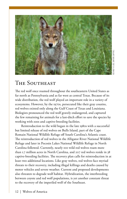

### The Southeast

The red wolf once roamed throughout the southeastern United States as far north as Pennsylvania and as far west as central Texas. Because of its wide distribution, the red wolf played an important role in a variety of ecosystems. However, by the 1970s, persecuted like their gray cousins, red wolves existed only along the Gulf Coast of Texas and Louisiana. Biologists pronounced the red wolf gravely endangered, and captured the few remaining for animals for a last-ditch effort to save the species by working with zoos and captive-breeding facilities.

Reintroduction to the wild began in the late 1980s with a successful but limited release of red wolves on Bulls Island, part of the Cape Romain National Wildlife Refuge off South Carolina's Atlantic coast. The reintroduction of red wolves in the Alligator River National Wildlife Refuge and later in Pocosin Lakes National Wildlife Refuge in North Carolina followed. Currently, nearly 100 wild red wolves roam more than 1.7 million acres in North Carolina, and 207 red wolves reside in 38 captive-breeding facilities. The recovery plan calls for reintroduction in at least two additional locations. Like gray wolves, red wolves face myriad threats to their recovery, including illegal killings and deaths caused by motor vehicles and severe weather. Current and proposed developments also threaten to degrade wolf habitat. Hybridization, the interbreeding between coyote and red wolf populations, is yet another constant threat to the recovery of the imperiled wolf of the Southeast.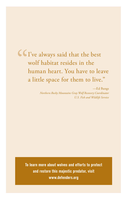## " I've always said that the best wolf habitat resides in the human heart. You have to leave a little space for them to live."

—Ed Bangs *Northern Rocky Mountains Gray Wolf Recovery Coordinator U.S. Fish and Wildlife Service*

**To learn more about wolves and efforts to protect and restore this majestic predator, visit www.defenders.org**